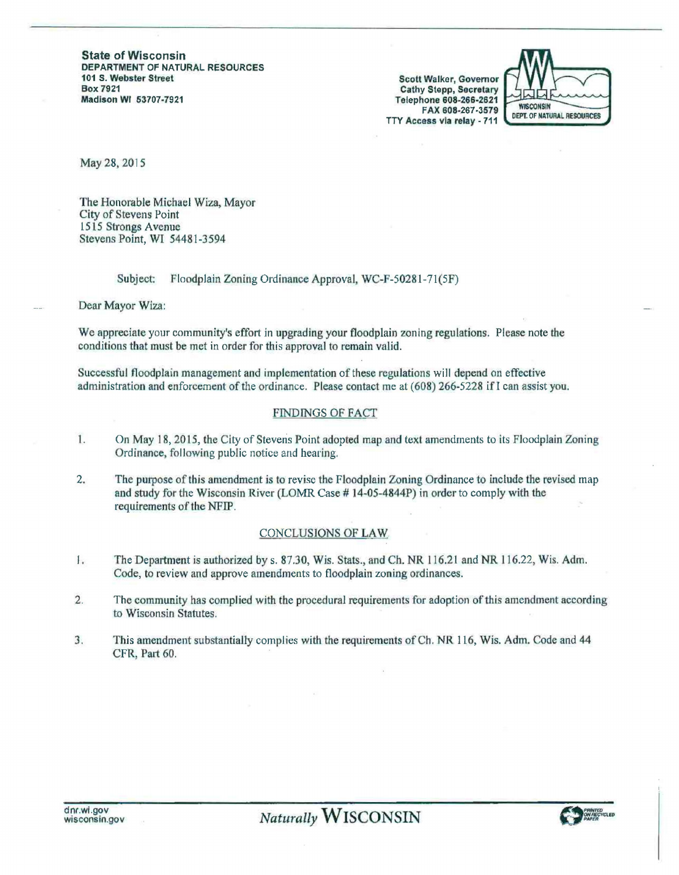State of Wisconsin DEPARTMENT OF NATURAL RESOURCES<br>101 S. Webster Street Box 7921 Madison WI 63707-7921

Scott Walker, Governor Cathy Stepp, Secretary Telephone 608-266-2621 FAX 608-267-3579 TTY Access via relay • 711



May 28, 2015

The Honorable Michael Wiza, Mayor City of Stevens Point 1515 Strongs Avenue Stevens Point, WI 54481-3594

# Subject: Floodplain Zoning Ordinance Approval, WC-F-50281-71(5F)

Dear Mayor Wiza:

We appreciate your community's effort in upgrading your floodplain zoning regulations. Please note the conditions that must be met in order for this approval to remain valid.

Successful floodplain management and implementation of these regulations will depend on effective administration and enforcement of the ordinance. Please contact me at (608) 266-5228 if I can assist you.

# FINDINGS OF FACT

- 1. On May 18, 2015, the City of Stevens Point adopted map and text amendments to its Floodplain Zoning Ordinance, following public notice and hearing.
- 2. The purpose of this amendment is to revise the Floodplain Zoning Ordinance to include the revised map and study for the Wisconsin River (LOMR Case #14-05-4844P) in order to comply with the requirements of the NFIP.

## .CONCLUSIONS OF LAW

- l. The Department is authorized bys. 87.30, Wis. Stats.,andCh.NR 116.21andNR116.22, Wis. Adm. Code, to review and approve amendments to floodplain zoning ordinances.
- 2. The community has complied with the procedural requirements for adoption of this amendment according to Wisconsin Statutes.
- 3. This amendment substantially complies with the requirements of Ch. NR 116, Wis. Adm. Code and 44 CFR, Part 60.